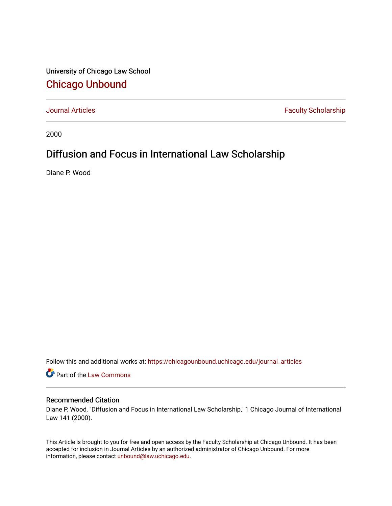University of Chicago Law School [Chicago Unbound](https://chicagounbound.uchicago.edu/)

[Journal Articles](https://chicagounbound.uchicago.edu/journal_articles) **Faculty Scholarship Faculty Scholarship** 

2000

## Diffusion and Focus in International Law Scholarship

Diane P. Wood

Follow this and additional works at: [https://chicagounbound.uchicago.edu/journal\\_articles](https://chicagounbound.uchicago.edu/journal_articles?utm_source=chicagounbound.uchicago.edu%2Fjournal_articles%2F2045&utm_medium=PDF&utm_campaign=PDFCoverPages) 

Part of the [Law Commons](http://network.bepress.com/hgg/discipline/578?utm_source=chicagounbound.uchicago.edu%2Fjournal_articles%2F2045&utm_medium=PDF&utm_campaign=PDFCoverPages)

## Recommended Citation

Diane P. Wood, "Diffusion and Focus in International Law Scholarship," 1 Chicago Journal of International Law 141 (2000).

This Article is brought to you for free and open access by the Faculty Scholarship at Chicago Unbound. It has been accepted for inclusion in Journal Articles by an authorized administrator of Chicago Unbound. For more information, please contact [unbound@law.uchicago.edu](mailto:unbound@law.uchicago.edu).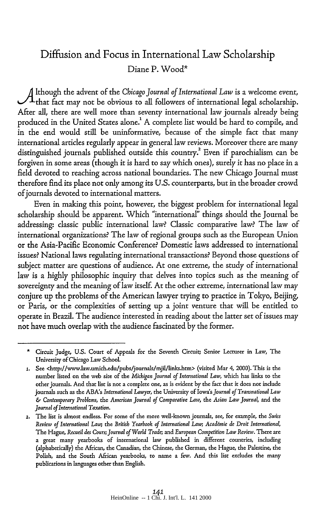## Diffusion and Focus in International Law Scholarship Diane P. Wood\*

A lthough the advent of the *Chicago Journal of International Law* is a welcome event, ,<br>that fact may not be obvious to all followers of international legal scholarship. After all, there are well more than seventy international law journals already being produced in the United States alone.' A complete list would be hard to compile, and in the end would still be uninformative, because of the simple fact that many international articles regularly appear in general law reviews. Moreover there are many distinguished journals published outside this country.<sup>2</sup> Even if parochialism can be forgiven in some areas (though it is hard to say which ones), surely it has no place in a field devoted to reaching across national boundaries. The new Chicago Journal must therefore find its place not only among its U.S. counterparts, but in the broader crowd of journals devoted to international matters.

Even in making this point, however, the biggest problem for international legal scholarship should be apparent. Which "international" things should the Journal be addressing: classic public international law? Classic comparative law? The law of international organizations? The law of regional groups such as the European Union or the Asia-Pacific Economic Conference? Domestic laws addressed to international issues? National laws regulating international transactions? Beyond those questions of subject matter are questions of audience. At one extreme, the study of international law is a highly philosophic inquiry that delves into topics such as the meaning of sovereignty and the meaning of law itself. At the other extreme, international law may conjure up the problems of the American lawyer trying to practice in Tokyo, Beijing, or Paris, or the complexities of setting up a joint venture that will be entitled to operate in Brazil. The audience interested in reading about the latter set of issues may not have much overlap with the audience fascinated by the former.

<sup>\*</sup>Circuit Judge, U.S. Court of Appeals for the Seventh Circuit, Senior Lecturer in Law, The University of Chicago Law School.

<sup>1.</sup> See <http://www.law.umich.edu/pubs/journals/mjil/links.htm> (visited Mar 4, 2000). This is the number listed on the web site of the *Michigan Journal of International Law,* which has links to the other journals. And that list is not a complete one, as is evident by the fact that it does not include journals such as the ABA's *International Lawyer,* the University of Iowa's *Journal of Transnational Law & Contemporary Problems,* the *American Journal of Comparative Law,* the *Asian Law Journal,* and the *Journal of International Taxation.*

<sup>2.</sup> The list is almost endless. For some of the more well-known journals, see, for example, the *Swiss Review of International Law,* the *Britisb Yearbook of International Law; Acadimie de Droit International,* The Hague, *Recueil des Cours; Journal of World Trade, and European Competition Law Review.* There are a great many yearbooks of international law published in different countries, including (alphabetically) the African, the Canadian, the Chinese, the German, the Hague, the Palestine, the Polish, and the South African yearbooks, to name a few. And this ist excludes the many publications in languages other than English.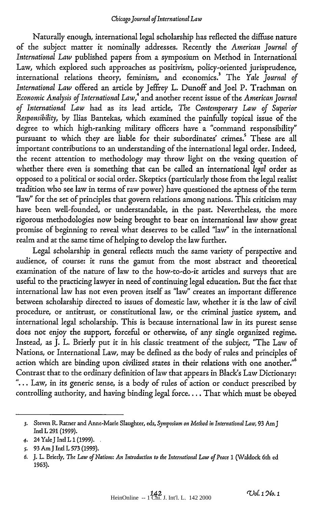Naturally enough, international legal scholarship has reflected the diffuse nature of the subject matter it nominally addresses. Recently the *American Journal of International Law* published papers from a symposium on Method in International Law, which explored such approaches as positivism, policy-oriented jurisprudence, international relations theory, feminism, and economics.3 The *Yale Journal of International Law* offered an article by Jeffrey L. Dunoff and Joel P. Trachman on *Economic Analysis of International Law,4* and another recent issue of the *American Journal of International Law* had as its lead article, *The Contemporary Law of Superior Responsibility,* by Ilias Bantekas, which examined the painfully topical issue of the degree to which high-ranking military officers have a "command responsibility" pursuant to which they are liable for their subordinates' crimes.' These are all important contributions to an understanding of the international legal order. Indeed, the recent attention to methodology may throw light on the vexing question of whether there even is something that can be called an international *legal* order as opposed to a political or social order. Skeptics (particularly those from the legal realist tradition who see law in terms of raw power) have questioned the aptness of the term "law" for the set of principles that govern relations among nations. This criticism may have been well-founded, or understandable, in the past. Nevertheless, the more rigorous methodologies now being brought to bear on international law show great promise of beginning to reveal what deserves to be called "law" in the international realm and at the same time of helping to develop the law further.

Legal scholarship in general reflects much the same variety of perspective and audience, of course: it runs the gamut from the most abstract and theoretical examination of the nature of law to the how-to-do-it articles and surveys that are useful to the practicing lawyer in need of continuing legal education. But the fact that international law has not even proven itself as "law" creates an important difference between scholarship directed to issues of domestic law, whether it is the law of civil procedure, or antitrust, or constitutional law, or the criminal justice system, and international legal scholarship. This is because international law in its purest sense does not enjoy the support, forceful or otherwise, of any single organized regime. Instead, as J. L. Brierly put it in his classic treatment of the subject, "The Law of Nations, or International Law, may be defined as the body of rules and principles of action which are binding upon civilized states in their relations with one another."' Contrast that to the ordinary definition of law that appears in Black's Law Dictionary: "... Law, in its generic sense, is a body of rules of action or conduct prescribed by controlling authority, and having binding legal force.... That which must be obeyed

<sup>3.</sup> Steven R Ratner and Anne-Marie Slaughter, eds, *Symposium on Method in International Law,* 93 Am **J** Intl L 291 (1999).

*<sup>4.</sup>* 24 YaleJ Intl L 1(1999).

*<sup>5.</sup>* **93** AmJ Intl L **573** (1999).

*<sup>6.</sup>* J. L. Brierly, The *Law of Nations: An Introduction to the International Law of Peace* 1 (Waldock 6th ed 1963).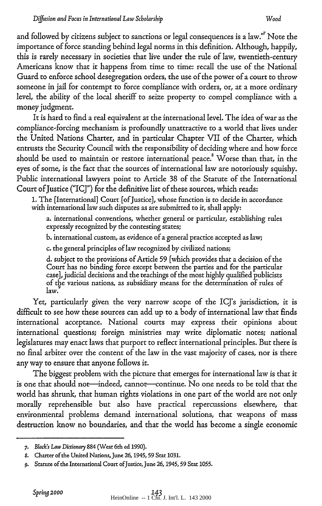and followed by citizens subject to sanctions or legal consequences is a law."<sup>7</sup> Note the importance of force standing behind legal norms in this definition. Although, happily, this is rarely necessary in societies that live under the rule of law, twentieth-century Americans know that it happens from time to time: recall the use of the National Guard to enforce school desegregation orders, the use of the power of a court to throw someone in jail for contempt to force compliance with orders, or, at a more ordinary level, the ability of the local sheriff to seize property to compel compliance with a money judgment.

It is hard to find a real equivalent at the international level. The idea of war as the compliance-forcing mechanism is profoundly unattractive to a world that lives under the United Nations Charter, and in particular Chapter VII of the Charter, which entrusts the Security Council with the responsibility of deciding where and how force should be used to maintain or restore international peace. Worse than that, in the eyes of some, is the fact that the sources of international law are notoriously squishy. Public international lawyers point to Article 38 of the Statute of the International Court of Justice ("ICJ") for the definitive list of these sources, which reads:

**1.** The [International] Court [ofJustice], whose function is to decide in accordance with international law such disputes as are submitted to it, shall apply:

a. international conventions, whether general or particular, establishing rules expressly recognized **by** the contesting states;

b. international custom, as evidence of a general practice accepted as law;

c. the general principles of law recognized by civilized nations;

d. subject to the provisions of Article 59 [which provides that a decision of the Court has no binding force except between the parties and for the particular case], judicial decisions and the teachings of the most highly qualified publicists of the various nations, as subsidiary means for the determination of rules of law.

Yet, particularly given the very narrow scope of the ICJ's jurisdiction, it is difficult to see how these sources can add up to a body of international law that finds international acceptance. National courts may express their opinions about international questions; foreign ministries may write diplomatic notes; national legislatures may enact laws that purport to reflect international principles. But there is no final arbiter over the content of the law in the vast majority of cases, nor is there any way to ensure that anyone follows it.

The biggest problem with the picture that emerges for international law is that it is one that should not-indeed, cannot-continue. No one needs to be told that the world has shrunk, that human rights violations in one part of the world are not only morally reprehensible but also have practical repercussions elsewhere, that environmental problems demand international solutions, that weapons of mass destruction know no boundaries, and that the world has become a single economic

*<sup>7.</sup> Black's Law Dictionary* 884 (West 6th ed **1990).**

*<sup>8.</sup>* Charter of the United Nations, June 26, 1945, 59 Stat 1031.

<sup>9.</sup> Statute of the International Court of Justice, June 26, 1945, 59 Stat 1055.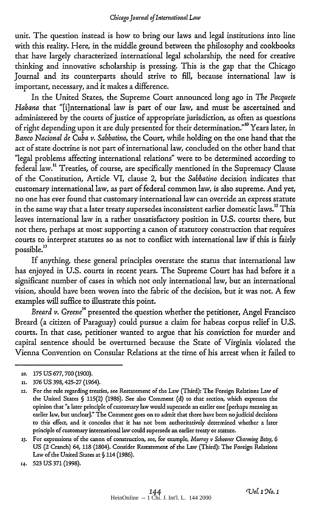unit. The question instead is how to bring our laws and legal institutions into line with this reality. Here, in the middle ground between the philosophy and cookbooks that have largely characterized international legal scholarship, the need for creative thinking and innovative scholarship is pressing. This is the gap that the Chicago Journal and its counterparts should strive to fill, because international law is important, necessary, and it makes a difference.

In the United States, the Supreme Court announced long ago in *The Pacquete Habana* that "[i]nternational law is part of our law, and must be ascertained and administered by the courts of justice of appropriate jurisdiction, as often as questions of right depending upon it are duly presented for their determination."10 Years later, in *Banco Nacional de Cuba v. Sabbatino,* the Court, while holding on the one hand that the act of state doctrine is not part of international law, concluded on the other hand that "legal problems affecting international relations" were to be determined according to federal law." Treaties, of course, are specifically mentioned in the Supremacy Clause of the Constitution, Article VI, clause 2, but the *Sabbatino* decision indicates that customary international law, as part of federal common law, is also supreme. And yet, no one has ever found that customary international law can override an express statute in the same way that a later treaty supersedes inconsistent earlier domestic laws.<sup>12</sup> This leaves international law in a rather unsatisfactory position in U.S. courts: there, but not there, perhaps at most supporting a canon of statutory construction that requires courts to interpret statutes so as not to conflict with international law if this is fairly possible."

If anything, these general principles overstate the status that international law has enjoyed in U.S. courts in recent years. The Supreme Court has had before it a significant number of cases in which not only international law, but an international vision, should have been woven into the fabric of the decision, but it was not. A few examples will suffice to illustrate this point.

*Breard v. Greene<sup>14</sup>* presented the question whether the petitioner, Angel Francisco Breard (a citizen of Paraguay) could pursue a claim for habeas corpus relief in U.S. courts. In that case, petitioner wanted to argue that his conviction for murder and capital sentence should be overturned because the State of Virginia violated the Vienna Convention on Consular Relations at the time of his arrest when it failed to

*<sup>10.</sup>* 175 US 677,700 **(1900).**

**<sup>11.</sup>** 376 **US** 398,425-27 (1964).

**<sup>12.</sup>** For the rule regarding treaties, see Restatement of the Law (Third): The Foreign Relations Law of the United States **§** 115(2) (1986). See also Comment (d) to that section, which expresses the opinion that "a later principle of customary law would supersede an earlier one [perhaps meaning an earlier law, but unclear]." The Comment goes on to admit that there have been no judicial decisions to this effect, and it concedes that it has not been authoritatively determined whether a later principle of customary international law could supersede an earlier treaty or statute.

**<sup>13.</sup>** For expressions of the canon of construction, see, for example, *Murray v Schooner Charning Betsy, 6* US (2 Cranch) 64, **118** (1804). Consider Restatement of the Law (Third): The Foreign Relations Law of the United States at § 114 (1986).

<sup>14.</sup> 523 US **371** (1998).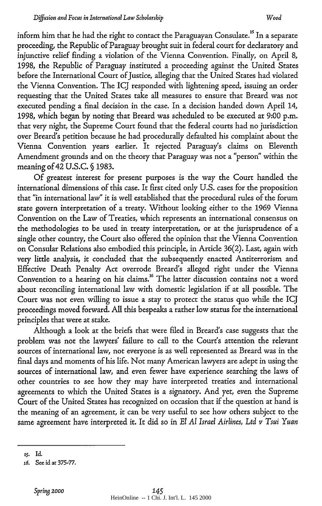inform him that he had the right to contact the Paraguayan Consulate.<sup>15</sup> In a separate proceeding, the Republic of Paraguay brought suit in federal court for declaratory and injunctive relief finding a violation of the Vienna Convention. Finally, on April 8, 1998, the Republic of Paraguay instituted a proceeding against the United States before the International Court of Justice, alleging that the United States had violated the Vienna Convention. The ICJ responded with lightening speed, issuing an order requesting that the United States take all measures to ensure that Breard was not executed pending a final decision in the case. In a decision handed down April 14, 1998, which began by noting that Breard was scheduled to be executed at 9:00 p.m. that very night, the Supreme Court found that the federal courts had no jurisdiction over Breard's petition because he had procedurally defaulted his complaint about the Vienna Convention years earlier. It rejected Paraguay's claims on Eleventh Amendment grounds and on the theory that Paraguay was not a "person" within the meaning of 42 U.S.C. § 1983.

Of greatest interest for present purposes is the way the Court handled the international dimensions of this case. It first cited only U.S. cases for the proposition that "in international law" it is well established that the procedural rules of the forum state govern interpretation of a treaty. Without looking either to the 1969 Vienna Convention on the Law of Treaties, which represents an international consensus on the methodologies to be used in treaty interpretation, or at the jurisprudence of a single other country, the Court also offered the opinion that the Vienna Convention on Consular Relations also embodied this principle, in Article 36(2). Last, again with very little analysis, it concluded that the subsequently enacted Antiterrorism and Effective Death Penalty Act overrode Breard's alleged right under the Vienna Convention to a hearing on his claims.<sup>16</sup> The latter discussion contains not a word about reconciling international law with domestic legislation if at all possible. The Court was not even willing to issue a stay to protect the status quo while the ICJ proceedings moved forward. All this bespeaks a rather low status for the international principles that were at stake.

Although a look at the briefs that were filed in Breard's case suggests that the problem was not the lawyers' failure to call to the Court's attention the relevant sources of international law, not everyone is as well represented as Breard was in the final days and moments of his life. Not many American lawyers are adept in using the sources of international law, and even fewer have experience searching the laws of other countries to see how they may have interpreted treaties and international agreements to which the United States is a signatory. And yet, even the Supreme Court of the United States has recognized on occasion that if the question at hand is the meaning of an agreement, it can be very useful to see how others subject to the same agreement have interpreted it. It did so in *El Al Israel Airlines, Ltd v Tsui Yuan*

**<sup>15.</sup>** Id.

*<sup>16.</sup>* See id at 375-77.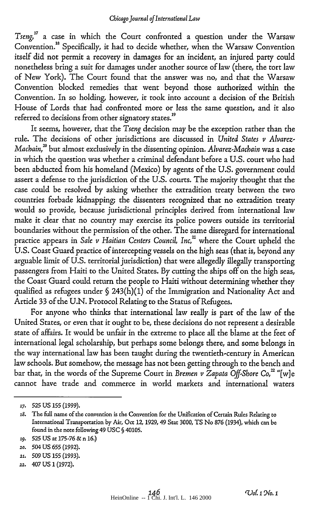Tseng,<sup>17</sup> a case in which the Court confronted a question under the Warsaw Convention.'8 Specifically, it had to decide whether, when the Warsaw Convention itself did not permit a recovery in damages for an incident, an injured party could nonetheless bring a suit for damages under another source of law (there, the tort law of New York). The Court found that the answer was no, and that the Warsaw Convention blocked remedies that went beyond those authorized within the Convention. In so holding, however, it took into account a decision of the British House of Lords that had confronted more or less the same question, and it also referred to decisions from other signatory states."

It seems, however, that the *Tseng* decision may be the exception rather than the rule. The decisions of other jurisdictions are discussed in *United States v Alvarez-Macbain, °* but almost exclusively in the dissenting opinion. *Alvarez-Macbain* was a case in which the question was whether a criminal defendant before a U.S. court who had been abducted from his homeland (Mexico) by agents of the U.S. government could assert a defense to the jurisdiction of the U.S. courts. The majority thought that the case could be resolved by asking whether the extradition treaty between the two countries forbade kidnapping; the dissenters recognized that no extradition treaty would so provide, because jurisdictional principles derived from international law make it clear that no country may exercise its police powers outside its territorial boundaries without the permission of the other. The same disregard for international practice appears in *Sale v Haitian Centers Council, Inc,*<sup>21</sup> where the Court upheld the U.S. Coast Guard practice of intercepting vessels on the high seas (that is, beyond any arguable limit of U.S. territorial jurisdiction) that were allegedly illegally transporting passengers from Haiti to the United States. By cutting the ships off on the high seas, the Coast Guard could return the people to Haiti without determining whether they qualified as refugees under § 243(h)(1) of the Immigration and Nationality Act and Article 33 of the U.N. Protocol Relating to the Status of Refugees.

For anyone who thinks that international law really is part of the law of the United States, or even that it ought to be, these decisions do not represent a desirable state of affairs. It would be unfair in the extreme to place all the blame at the feet of international legal scholarship, but perhaps some belongs there, and some belongs in the way international law has been taught during the twentieth-century in American law schools. But somehow, the message has not been getting through to the bench and bar that, in the words of the Supreme Court in *Bremen v Zapata Off-Shore Co*,<sup>22</sup> "[w]e cannot have trade and commerce in world markets and international waters

**<sup>17.</sup> 525** US 155 (1999).

<sup>18.</sup> The full name of the convention is the Convention for the Unification of Certain Rules Relating to International Transportation by Air, Oct 12, 1929, 49 Stat 3000, TS No 876 (1934), which can be found in the note following 49 USC **§** 40105.

*<sup>19.</sup>* 525 US at 175-76 & n 16.)

**<sup>2</sup>o.** 504 US 655 (1992).

**<sup>21.</sup>** 509 US 155 (1993).

**<sup>22.</sup>** 407 US 1 (1972).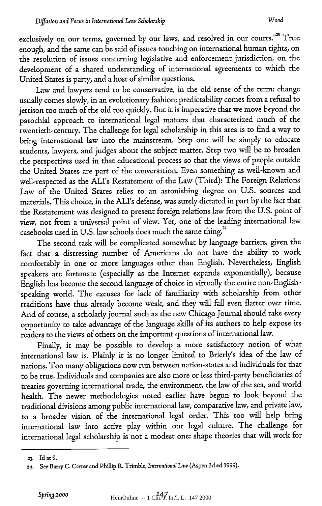exclusively on our terms, governed by our laws, and resolved in our courts."<sup>23</sup> True enough, and the same can be said of issues touching on international human rights, on the resolution of issues concerning legislative and enforcement jurisdiction, on the development of a shared understanding of international agreements to which the United States is party, and a host of similar questions.

Law and lawyers tend to be conservative, in the old sense of the term: change usually comes slowly, in an evolutionary fashion; predictability comes from a refusal to jettison too much of the old too quickly. But it is imperative that we move beyond the parochial approach to international legal matters that characterized much of the twentieth-century. The challenge for legal scholarship in this area is to find a way to bring international law into the mainstream. Step one will be simply to educate students, lawyers, and judges about the subject matter. Step two will be to broaden the perspectives used in that educational process so that the views of people outside the United States are part of the conversation. Even something as well-known and well-respected as the ALI's Restatement of the Law (Third): The Foreign Relations Law of the United States relies to an astonishing degree on U.S. sources and materials. This choice, in the ALI's defense, was surely dictated in part by the fact that the Restatement was designed to present foreign relations law from the U.S. point of view, not from a universal point of view. Yet, one of the leading international law casebooks used in U.S. law schools does much the same thing.<sup>24</sup>

The second task will be complicated somewhat by language barriers, given the fact that a distressing number of Americans do not have the ability to work comfortably in one or more languages other than English. Nevertheless, English speakers are fortunate (especially as the Internet expands exponentially), because English has become the second language of choice in virtually the entire non-Englishspeaking world. The excuses for lack of familiarity with scholarship from other traditions have thus already become weak, and they will fall even flatter over time. And of course, a scholarly journal such as the new Chicago Journal should take every opportunity to take advantage of the language skills of its authors to help expose its readers to the views of others on the important questions of international law.

Finally, it may be possible to develop a more satisfactory notion of what international law is. Plainly it is no longer limited to Brierly's idea of the law of nations. Too many obligations now run between nation-states and individuals for that to be true. Individuals and companies are also more or less third-party beneficiaries of treaties governing international trade, the environment, the law of the sea, and world health. The newer methodologies noted earlier have begun to look beyond the traditional divisions among public international law, comparative law, and private law, to a broader vision of the international legal order. This too will help bring international law into active play within our legal culture. The challenge for international legal scholarship is not a modest one: shape theories that will work for

**<sup>23.</sup>** Id at 9.

<sup>24.</sup> See Barry C. Carter and Philip R Trimble, *International Law* (Aspen 3d ed 1999).